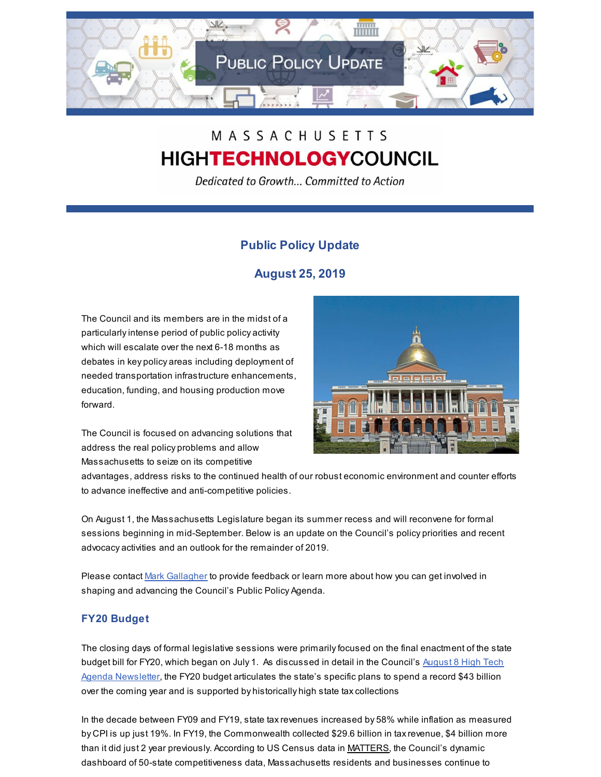

# MASSACHUSETTS **HIGHTECHNOLOGYCOUNCIL**

Dedicated to Growth... Committed to Action

# **Public Policy Update**

# **August 25, 2019**

The Council and its members are in the midst of a particularlyintense period of public policy activity which will escalate over the next 6-18 months as debates in key policy areas including deployment of needed transportation infrastructure enhancements, education, funding, and housing production move forward.



The Council is focused on advancing solutions that address the real policy problems and allow Massachusetts to seize on its competitive

advantages, address risks to the continued health of our robust economic environment and counter efforts to advance ineffective and anti-competitive policies.

On August 1, the Massachusetts Legislature began its summer recess and will reconvene for formal sessions beginning in mid-September. Below is an update on the Council's policy priorities and recent advocacy activities and an outlook for the remainder of 2019.

Please contact Mark [Gallagher](mailto:mark@mhtc.org) to provide feedback or learn more about how you can get involved in shaping and advancing the Council's Public Policy Agenda.

# **FY20 Budget**

The closing days of formal legislative sessions were primarilyfocused on the final enactment of the state budget bill for FY20, which began on July 1. As [discussed](http://www.mhtc.org/wp-content/uploads/2019/08/The-High-Tech-Agenda-8.8.19.pdf) in detail in the Council's August 8 High Tech Agenda Newsletter, the FY20 budget articulates the state's specific plans to spend a record \$43 billion over the coming year and is supported by historically high state taxcollections

In the decade between FY09 and FY19, state taxrevenues increased by 58% while inflation as measured by CPI is up just 19%. In FY19, the Commonwealth collected \$29.6 billion in taxrevenue, \$4 billion more than it did just 2 year previously. According to US Census data in [MATTERS](http://matters.mhtc.org/), the Council's dynamic dashboard of 50-state competitiveness data, Massachusetts residents and businesses continue to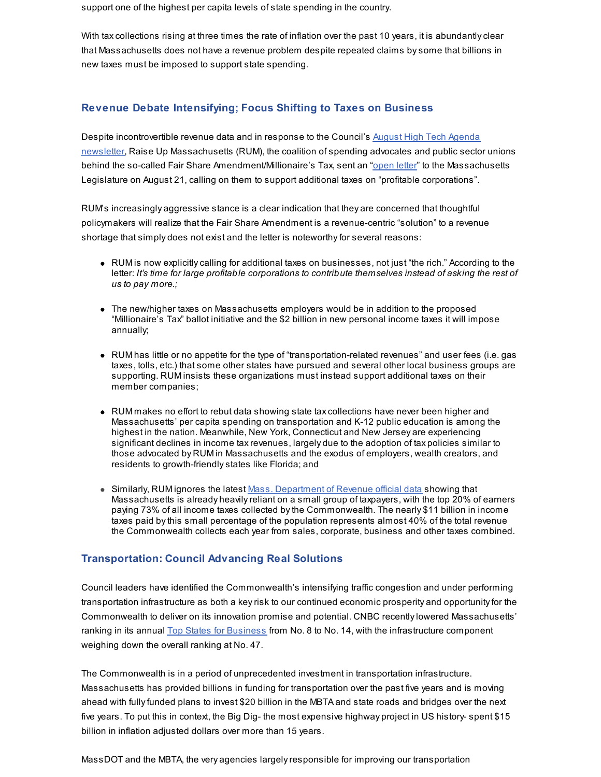support one of the highest per capita levels of state spending in the country.

With tax collections rising at three times the rate of inflation over the past 10 years, it is abundantly clear that Massachusetts does not have a revenue problem despite repeated claims bysome that billions in new taxes must be imposed to support state spending.

### **Revenue Debate Intensifying; Focus Shifting to Taxes on Business**

Despite [incontrovertible](http://www.mhtc.org/wp-content/uploads/2019/08/The-High-Tech-Agenda-8.8.19.pdf) revenue data and in response to the Council's August High Tech Agenda newsletter, Raise Up Massachusetts (RUM), the coalition of spending advocates and public sector unions behind the so-called Fair Share Amendment/Millionaire's Tax, sent an ["open](http://www.mhtc.org/wp-content/uploads/2019/08/RUM-Open-Letter-to-Legislature-on-Revenue-002.pdf) letter" to the Massachusetts Legislature on August 21, calling on them to support additional taxes on "profitable corporations".

RUM's increasingly aggressive stance is a clear indication that they are concerned that thoughtful policymakers will realize that the Fair Share Amendment is a revenue-centric "solution" to a revenue shortage that simply does not exist and the letter is noteworthyfor several reasons:

- RUM is now explicitlycalling for additional taxes on businesses, not just "the rich." According to the letter: *It's time for large profitable corporations to contribute themselves instead of asking the rest of us to pay more.;*
- The new/higher taxes on Massachusetts employers would be in addition to the proposed "Millionaire's Tax" ballot initiative and the \$2 billion in new personal income taxes it will impose annually;
- RUM has little or no appetite for the type of "transportation-related revenues" and user fees (i.e. gas taxes, tolls, etc.) that some other states have pursued and several other local business groups are supporting. RUM insists these organizations must instead support additional taxes on their member companies;
- RUM makes no effort to rebut data showing state taxcollections have never been higher and Massachusetts' per capita spending on transportation and K-12 public education is among the highest in the nation. Meanwhile, New York, Connecticut and New Jersey are experiencing significant declines in income taxrevenues, largely due to the adoption of tax policies similar to those advocated by RUM in Massachusetts and the exodus of employers, wealth creators, and residents to growth-friendlystates like Florida; and
- Similarly, RUM ignores the latest Mass. [Department](https://www.mass.gov/files/documents/2019/05/15/dor-other-reports-2017-statistics-of-income-tax-returns-by-quintile-1_0.pdf) of Revenue official data showing that Massachusetts is already heavilyreliant on a small group of taxpayers, with the top 20% of earners paying 73% of all income taxes collected bythe Commonwealth. The nearly \$11 billion in income taxes paid bythis small percentage of the population represents almost 40% of the total revenue the Commonwealth collects each year from sales, corporate, business and other taxes combined.

#### **Transportation: Council Advancing Real Solutions**

Council leaders have identified the Commonwealth's intensifying traffic congestion and under performing transportation infrastructure as both a keyrisk to our continued economic prosperity and opportunityfor the Commonwealth to deliver on its innovation promise and potential. CNBC recentlylowered Massachusetts' ranking in its annual Top States for [Business](https://www.cnbc.com/2019/07/09/top-states-for-business-massachusetts.html) from No. 8 to No. 14, with the infrastructure component weighing down the overall ranking at No. 47.

The Commonwealth is in a period of unprecedented investment in transportation infrastructure. Massachusetts has provided billions in funding for transportation over the past five years and is moving ahead with fullyfunded plans to invest \$20 billion in the MBTA and state roads and bridges over the next five years. To put this in context, the Big Dig- the most expensive highway project in US history- spent \$15 billion in inflation adjusted dollars over more than 15 years.

MassDOT and the MBTA, the very agencies largelyresponsible for improving our transportation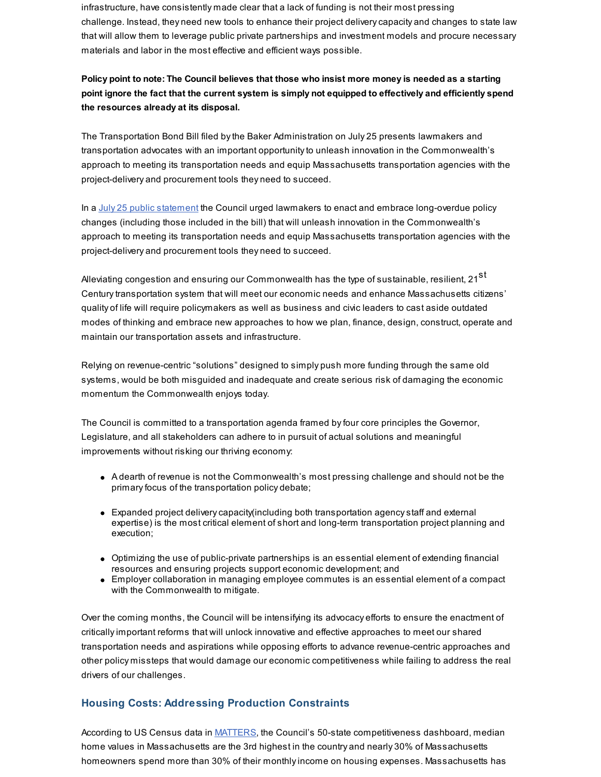infrastructure, have consistently made clear that a lack of funding is not their most pressing challenge. Instead, they need new tools to enhance their project deliverycapacity and changes to state law that will allow them to leverage public private partnerships and investment models and procure necessary materials and labor in the most effective and efficient ways possible.

## Policy point to note: The Council believes that those who insist more money is needed as a starting **point ignore the fact that the current system is simply not equipped to effectively and efficiently spend the resources already at its disposal.**

The Transportation Bond Bill filed bythe Baker Administration on July 25 presents lawmakers and transportation advocates with an important opportunityto unleash innovation in the Commonwealth's approach to meeting its transportation needs and equip Massachusetts transportation agencies with the project-delivery and procurement tools they need to succeed.

In a July 25 public [statement](https://www.cnbc.com/2019/07/09/top-states-for-business-massachusetts.html) the Council urged lawmakers to enact and embrace long-overdue policy changes (including those included in the bill) that will unleash innovation in the Commonwealth's approach to meeting its transportation needs and equip Massachusetts transportation agencies with the project-delivery and procurement tools they need to succeed.

Alleviating congestion and ensuring our Commonwealth has the type of sustainable, resilient, 21 $^{\rm st}$ Centurytransportation system that will meet our economic needs and enhance Massachusetts citizens' quality of life will require policymakers as well as business and civic leaders to cast aside outdated modes of thinking and embrace new approaches to how we plan, finance, design, construct, operate and maintain our transportation assets and infrastructure.

Relying on revenue-centric "solutions" designed to simply push more funding through the same old systems, would be both misguided and inadequate and create serious risk of damaging the economic momentum the Commonwealth enjoys today.

The Council is committed to a transportation agenda framed byfour core principles the Governor, Legislature, and all stakeholders can adhere to in pursuit of actual solutions and meaningful improvements without risking our thriving economy:

- A dearth of revenue is not the Commonwealth's most pressing challenge and should not be the primary focus of the transportation policy debate;
- Expanded project deliverycapacity(including both transportation agencystaff and external expertise) is the most critical element of short and long-term transportation project planning and execution;
- Optimizing the use of public-private partnerships is an essential element of extending financial resources and ensuring projects support economic development; and
- Employer collaboration in managing employee commutes is an essential element of a compact with the Commonwealth to mitigate.

Over the coming months, the Council will be intensifying its advocacy efforts to ensure the enactment of criticallyimportant reforms that will unlock innovative and effective approaches to meet our shared transportation needs and aspirations while opposing efforts to advance revenue-centric approaches and other policy missteps that would damage our economic competitiveness while failing to address the real drivers of our challenges.

#### **Housing Costs: Addressing Production Constraints**

According to US Census data in **[MATTERS](http://matters.mhtc.org/explore?metrics=1017&userMetrics=&states=51,1,2,3,4,5,6,7,8,9,10,11,12,13,14,15,16,17,18,19,20,21,22,23,24,25,26,27,28,29,30,31,32,33,34,35,36,37,38,39,40,41,42,43,44,45,46,47,48,49,50&visualization=3&specificMetric=1017&year=2015)**, the Council's 50-state competitiveness dashboard, median home values in Massachusetts are the 3rd highest in the country and nearly 30% of Massachusetts homeowners spend more than 30% of their monthlyincome on housing expenses. Massachusetts has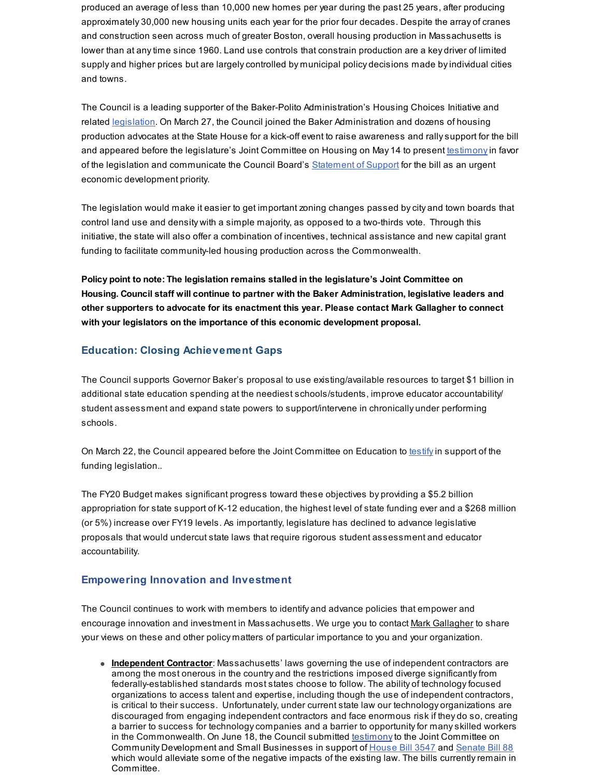produced an average of less than 10,000 new homes per year during the past 25 years, after producing approximately 30,000 new housing units each year for the prior four decades. Despite the array of cranes and construction seen across much of greater Boston, overall housing production in Massachusetts is lower than at anytime since 1960. Land use controls that constrain production are a key driver of limited supply and higher prices but are largelycontrolled by municipal policy decisions made byindividual cities and towns.

The Council is a leading supporter of the Baker-Polito Administration's Housing Choices Initiative and related [legislation](https://malegislature.gov/Bills/191/H3507). On March 27, the Council joined the Baker Administration and dozens of housing production advocates at the State House for a kick-off event to raise awareness and rallysupport for the bill and appeared before the legislature's Joint Committee on Housing on May 14 to present [testimony](http://www.mhtc.org/wp-content/uploads/2019/05/Testimony-Housing-Choices-Legisation-5.14.19.pdf)in favor of the legislation and communicate the Council Board's [Statement](http://www.mhtc.org/wp-content/uploads/2019/05/MHTC-BOD-Statement-Housing-Choices-Legislation-5.14.19.pdf) of Support for the bill as an urgent economic development priority.

The legislation would make it easier to get important zoning changes passed bycity and town boards that control land use and density with a simple majority, as opposed to a two-thirds vote. Through this initiative, the state will also offer a combination of incentives, technical assistance and new capital grant funding to facilitate community-led housing production across the Commonwealth.

**Policy point to note: The legislation remains stalled in the legislature's Joint Committee on Housing. Council staff will continue to partner with the Baker Administration, legislative leaders and other supporters to advocate for its enactment this year. Please contact Mark Gallagher to connect with your legislators on the importance of this economic development proposal.**

## **Education: Closing Achievement Gaps**

The Council supports Governor Baker's proposal to use existing/available resources to target \$1 billion in additional state education spending at the neediest schools/students, improve educator accountability/ student assessment and expand state powers to support/intervene in chronically under performing schools.

On March 22, the Council appeared before the Joint Committee on Education to [testify](http://www.mhtc.org/wp-content/uploads/2019/03/MHTC_Testimony_Foundation-Budget-Reform-HB70-FINAL-3.22.19-x.pdf) in support of the funding legislation..

The FY20 Budget makes significant progress toward these objectives by providing a \$5.2 billion appropriation for state support of K-12 education, the highest level of state funding ever and a \$268 million (or 5%) increase over FY19 levels. As importantly, legislature has declined to advance legislative proposals that would undercut state laws that require rigorous student assessment and educator accountability.

#### **Empowering Innovation and Investment**

The Council continues to work with members to identify and advance policies that empower and encourage innovation and investment in Massachusetts. We urge you to contact Mark [Gallagher](mailto:mark@mhtc.org) to share your views on these and other policy matters of particular importance to you and your organization.

**Independent Contractor**: Massachusetts' laws governing the use of independent contractors are among the most onerous in the country and the restrictions imposed diverge significantlyfrom federally-established standards most states choose to follow. The ability of technologyfocused organizations to access talent and expertise, including though the use of independent contractors, is critical to their success. Unfortunately, under current state law our technology organizations are discouraged from engaging independent contractors and face enormous risk if they do so, creating a barrier to success for technologycompanies and a barrier to opportunityfor manyskilled workers in the Commonwealth. On June 18, the Council submitted [testimony](http://www.mhtc.org/wp-content/uploads/2019/08/MHTC_Letter-Independent-Contractor-Legislation-HB-3547-and-SB-88-6.18.19.pdf) to the Joint Committee on Community Development and Small Businesses in support of [House](https://malegislature.gov/Bills/191/H3547) Bill 3547 and [Senate](https://malegislature.gov/Bills/191/S88) Bill 88 which would alleviate some of the negative impacts of the existing law. The bills currently remain in Committee.